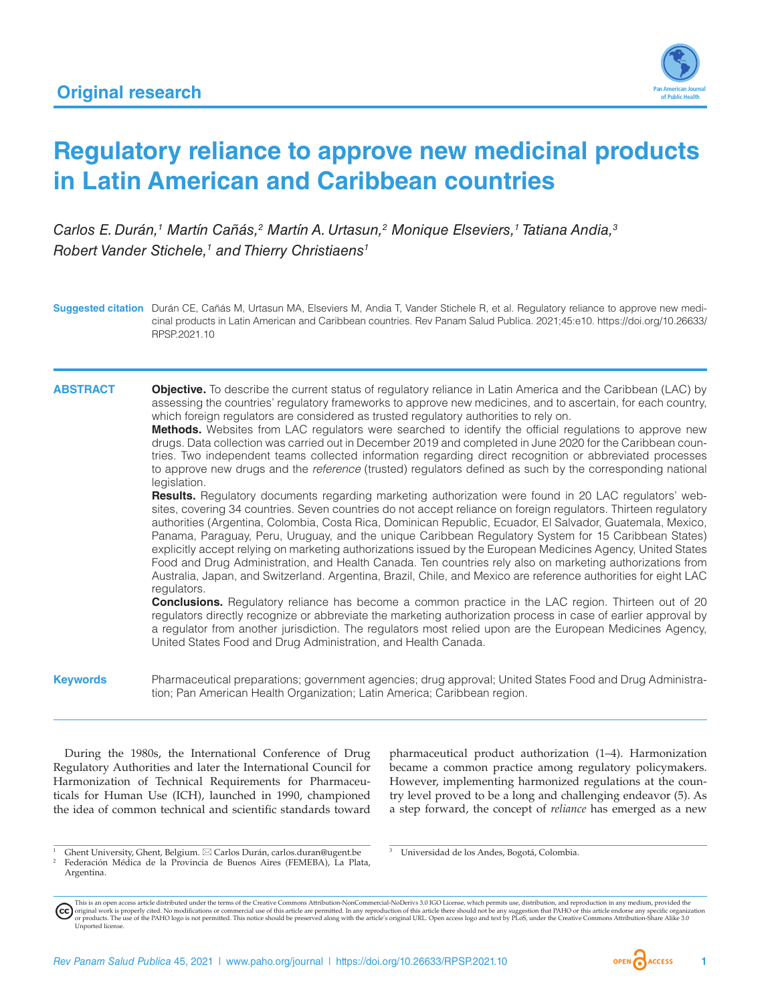

# **Regulatory reliance to approve new medicinal products in Latin American and Caribbean countries**

*Carlos E. Durán,1 Martín Cañás,2 Martín A. Urtasun,2 Monique Elseviers,1 Tatiana Andia,3 Robert Vander Stichele,1 and Thierry Christiaens1*

**Suggested citation** Durán CE, Cañás M, Urtasun MA, Elseviers M, Andia T, Vander Stichele R, et al. Regulatory reliance to approve new medicinal products in Latin American and Caribbean countries. Rev Panam Salud Publica. 2021;45:e10. [https://doi.org/10.26633/](https://doi.org/10.26633/RPSP.2021.10) [RPSP.2021.10](https://doi.org/10.26633/RPSP.2021.10)

**ABSTRACT Objective.** To describe the current status of regulatory reliance in Latin America and the Caribbean (LAC) by assessing the countries' regulatory frameworks to approve new medicines, and to ascertain, for each country, which foreign regulators are considered as trusted regulatory authorities to rely on.

> **Methods.** Websites from LAC regulators were searched to identify the official regulations to approve new drugs. Data collection was carried out in December 2019 and completed in June 2020 for the Caribbean countries. Two independent teams collected information regarding direct recognition or abbreviated processes to approve new drugs and the *reference* (trusted) regulators defined as such by the corresponding national legislation.

> **Results.** Regulatory documents regarding marketing authorization were found in 20 LAC regulators' websites, covering 34 countries. Seven countries do not accept reliance on foreign regulators. Thirteen regulatory authorities (Argentina, Colombia, Costa Rica, Dominican Republic, Ecuador, El Salvador, Guatemala, Mexico, Panama, Paraguay, Peru, Uruguay, and the unique Caribbean Regulatory System for 15 Caribbean States) explicitly accept relying on marketing authorizations issued by the European Medicines Agency, United States Food and Drug Administration, and Health Canada. Ten countries rely also on marketing authorizations from Australia, Japan, and Switzerland. Argentina, Brazil, Chile, and Mexico are reference authorities for eight LAC regulators.

> **Conclusions.** Regulatory reliance has become a common practice in the LAC region. Thirteen out of 20 regulators directly recognize or abbreviate the marketing authorization process in case of earlier approval by a regulator from another jurisdiction. The regulators most relied upon are the European Medicines Agency, United States Food and Drug Administration, and Health Canada.

**Keywords** Pharmaceutical preparations; government agencies; drug approval; United States Food and Drug Administration; Pan American Health Organization; Latin America; Caribbean region.

During the 1980s, the International Conference of Drug Regulatory Authorities and later the International Council for Harmonization of Technical Requirements for Pharmaceuticals for Human Use (ICH), launched in 1990, championed the idea of common technical and scientific standards toward pharmaceutical product authorization (1–4). Harmonization became a common practice among regulatory policymakers. However, implementing harmonized regulations at the country level proved to be a long and challenging endeavor (5). As a step forward, the concept of *reliance* has emerged as a new

<sup>1</sup> Ghent University, Ghent, Belgium. \*  Carlos Durán, [carlos.duran@ugent.be](mailto:carlos.duran@ugent.be) <sup>2</sup> Federación Médica de la Provincia de Buenos Aires (FEMEBA), La Plata, Argentina.

<sup>3</sup> Universidad de los Andes, Bogotá, Colombia.

This is an open access article distributed under the terms of the [Creative Commons Attribution-NonCommercial-NoDerivs 3.0 IGO License](https://creativecommons.org/licenses/by-nc-nd/3.0/igo/legalcode), which permits use, distribution, and reproduction in any medium, provided the (cc) original work is properly cited. No modifications or commercial use of this article are permitted. In any reproduction of this article there should not be any suggestion that PAHO or this article endorse any specific organ [Unported](https://creativecommons.org/licenses/by-sa/3.0/deed.en) license.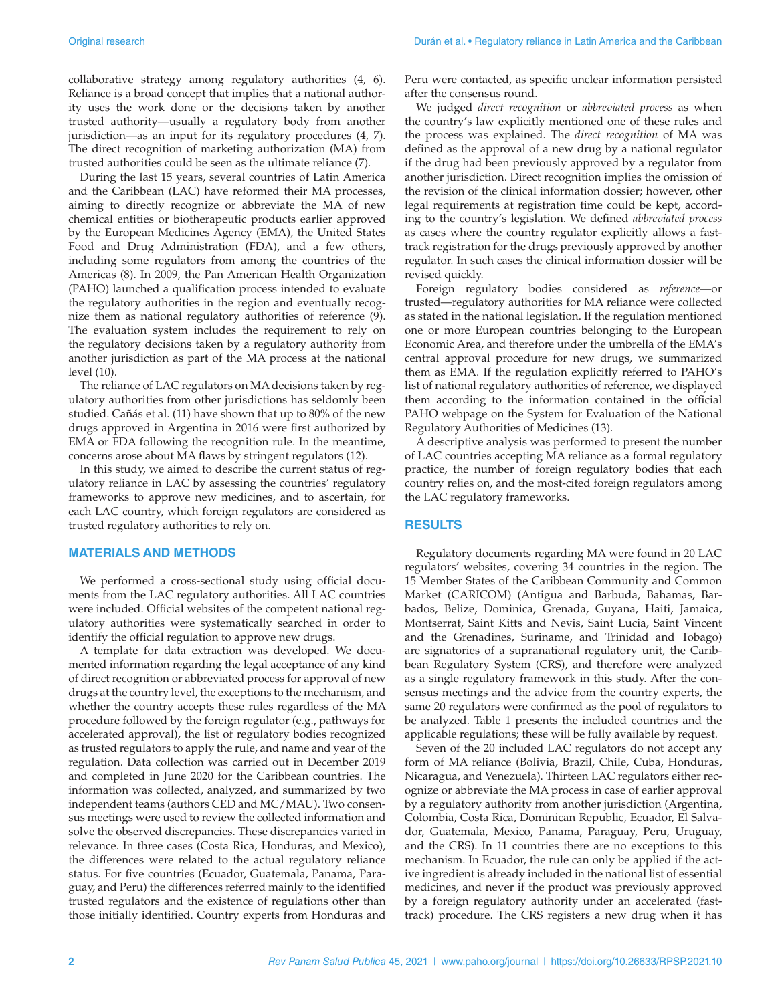collaborative strategy among regulatory authorities (4, 6). Reliance is a broad concept that implies that a national authority uses the work done or the decisions taken by another trusted authority—usually a regulatory body from another jurisdiction—as an input for its regulatory procedures (4, 7). The direct recognition of marketing authorization (MA) from trusted authorities could be seen as the ultimate reliance (7).

During the last 15 years, several countries of Latin America and the Caribbean (LAC) have reformed their MA processes, aiming to directly recognize or abbreviate the MA of new chemical entities or biotherapeutic products earlier approved by the European Medicines Agency (EMA), the United States Food and Drug Administration (FDA), and a few others, including some regulators from among the countries of the Americas (8). In 2009, the Pan American Health Organization (PAHO) launched a qualification process intended to evaluate the regulatory authorities in the region and eventually recognize them as national regulatory authorities of reference (9). The evaluation system includes the requirement to rely on the regulatory decisions taken by a regulatory authority from another jurisdiction as part of the MA process at the national level (10).

The reliance of LAC regulators on MA decisions taken by regulatory authorities from other jurisdictions has seldomly been studied. Cañás et al. (11) have shown that up to 80% of the new drugs approved in Argentina in 2016 were first authorized by EMA or FDA following the recognition rule. In the meantime, concerns arose about MA flaws by stringent regulators (12).

In this study, we aimed to describe the current status of regulatory reliance in LAC by assessing the countries' regulatory frameworks to approve new medicines, and to ascertain, for each LAC country, which foreign regulators are considered as trusted regulatory authorities to rely on.

#### **MATERIALS AND METHODS**

We performed a cross-sectional study using official documents from the LAC regulatory authorities. All LAC countries were included. Official websites of the competent national regulatory authorities were systematically searched in order to identify the official regulation to approve new drugs.

A template for data extraction was developed. We documented information regarding the legal acceptance of any kind of direct recognition or abbreviated process for approval of new drugs at the country level, the exceptions to the mechanism, and whether the country accepts these rules regardless of the MA procedure followed by the foreign regulator (e.g., pathways for accelerated approval), the list of regulatory bodies recognized as trusted regulators to apply the rule, and name and year of the regulation. Data collection was carried out in December 2019 and completed in June 2020 for the Caribbean countries. The information was collected, analyzed, and summarized by two independent teams (authors CED and MC/MAU). Two consensus meetings were used to review the collected information and solve the observed discrepancies. These discrepancies varied in relevance. In three cases (Costa Rica, Honduras, and Mexico), the differences were related to the actual regulatory reliance status. For five countries (Ecuador, Guatemala, Panama, Paraguay, and Peru) the differences referred mainly to the identified trusted regulators and the existence of regulations other than those initially identified. Country experts from Honduras and

Peru were contacted, as specific unclear information persisted after the consensus round.

We judged *direct recognition* or *abbreviated process* as when the country's law explicitly mentioned one of these rules and the process was explained. The *direct recognition* of MA was defined as the approval of a new drug by a national regulator if the drug had been previously approved by a regulator from another jurisdiction. Direct recognition implies the omission of the revision of the clinical information dossier; however, other legal requirements at registration time could be kept, according to the country's legislation. We defined *abbreviated process* as cases where the country regulator explicitly allows a fasttrack registration for the drugs previously approved by another regulator. In such cases the clinical information dossier will be revised quickly.

Foreign regulatory bodies considered as *reference*—or trusted—regulatory authorities for MA reliance were collected as stated in the national legislation. If the regulation mentioned one or more European countries belonging to the European Economic Area, and therefore under the umbrella of the EMA's central approval procedure for new drugs, we summarized them as EMA. If the regulation explicitly referred to PAHO's list of national regulatory authorities of reference, we displayed them according to the information contained in the official PAHO webpage on the System for Evaluation of the National Regulatory Authorities of Medicines (13).

A descriptive analysis was performed to present the number of LAC countries accepting MA reliance as a formal regulatory practice, the number of foreign regulatory bodies that each country relies on, and the most-cited foreign regulators among the LAC regulatory frameworks.

#### **RESULTS**

Regulatory documents regarding MA were found in 20 LAC regulators' websites, covering 34 countries in the region. The 15 Member States of the Caribbean Community and Common Market (CARICOM) (Antigua and Barbuda, Bahamas, Barbados, Belize, Dominica, Grenada, Guyana, Haiti, Jamaica, Montserrat, Saint Kitts and Nevis, Saint Lucia, Saint Vincent and the Grenadines, Suriname, and Trinidad and Tobago) are signatories of a supranational regulatory unit, the Caribbean Regulatory System (CRS), and therefore were analyzed as a single regulatory framework in this study. After the consensus meetings and the advice from the country experts, the same 20 regulators were confirmed as the pool of regulators to be analyzed. Table 1 presents the included countries and the applicable regulations; these will be fully available by request.

Seven of the 20 included LAC regulators do not accept any form of MA reliance (Bolivia, Brazil, Chile, Cuba, Honduras, Nicaragua, and Venezuela). Thirteen LAC regulators either recognize or abbreviate the MA process in case of earlier approval by a regulatory authority from another jurisdiction (Argentina, Colombia, Costa Rica, Dominican Republic, Ecuador, El Salvador, Guatemala, Mexico, Panama, Paraguay, Peru, Uruguay, and the CRS). In 11 countries there are no exceptions to this mechanism. In Ecuador, the rule can only be applied if the active ingredient is already included in the national list of essential medicines, and never if the product was previously approved by a foreign regulatory authority under an accelerated (fasttrack) procedure. The CRS registers a new drug when it has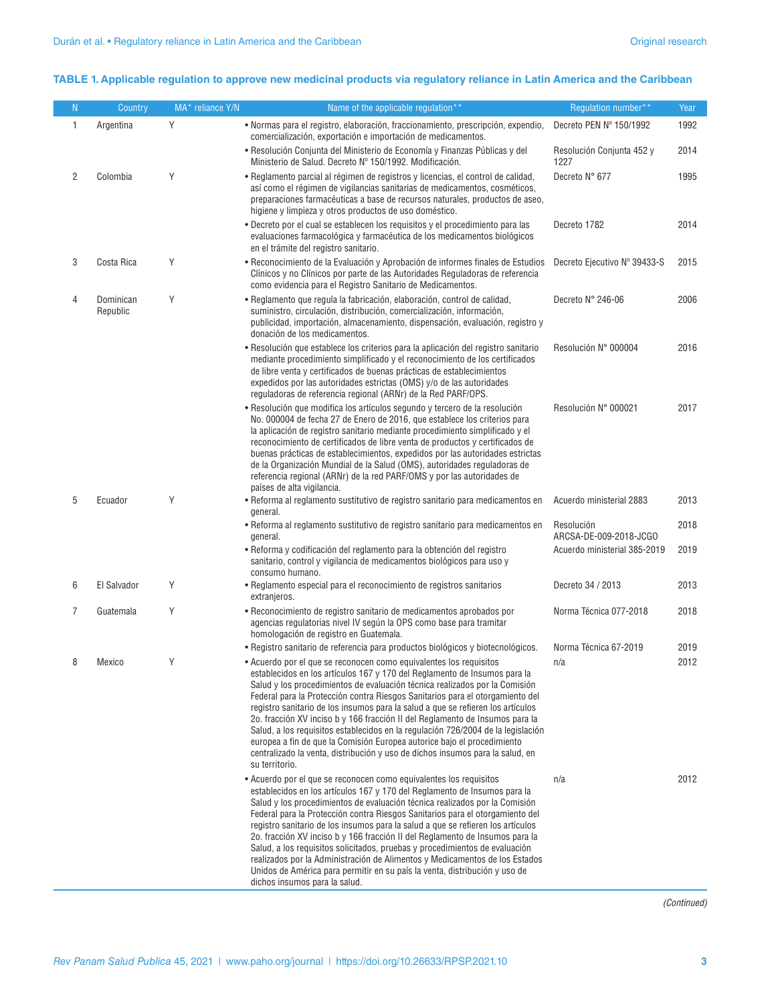#### **TABLE 1. Applicable regulation to approve new medicinal products via regulatory reliance in Latin America and the Caribbean**

| N | Country               | MA* reliance Y/N | Name of the applicable regulation**                                                                                                                                                                                                                                                                                                                                                                                                                                                                                                                                                                                                                                                                                                                             | Requlation number**                  | Year |
|---|-----------------------|------------------|-----------------------------------------------------------------------------------------------------------------------------------------------------------------------------------------------------------------------------------------------------------------------------------------------------------------------------------------------------------------------------------------------------------------------------------------------------------------------------------------------------------------------------------------------------------------------------------------------------------------------------------------------------------------------------------------------------------------------------------------------------------------|--------------------------------------|------|
| 1 | Argentina             | Y                | • Normas para el registro, elaboración, fraccionamiento, prescripción, expendio,<br>comercialización, exportación e importación de medicamentos.                                                                                                                                                                                                                                                                                                                                                                                                                                                                                                                                                                                                                | Decreto PEN Nº 150/1992              | 1992 |
|   |                       |                  | • Resolución Conjunta del Ministerio de Economía y Finanzas Públicas y del<br>Ministerio de Salud. Decreto Nº 150/1992. Modificación.                                                                                                                                                                                                                                                                                                                                                                                                                                                                                                                                                                                                                           | Resolución Conjunta 452 y<br>1227    | 2014 |
| 2 | Colombia              | Y                | • Reglamento parcial al régimen de registros y licencias, el control de calidad,<br>así como el régimen de vigilancias sanitarias de medicamentos, cosméticos,<br>preparaciones farmacéuticas a base de recursos naturales, productos de aseo,<br>higiene y limpieza y otros productos de uso doméstico.                                                                                                                                                                                                                                                                                                                                                                                                                                                        | Decreto N° 677                       | 1995 |
|   |                       |                  | • Decreto por el cual se establecen los requisitos y el procedimiento para las<br>evaluaciones farmacológica y farmacéutica de los medicamentos biológicos<br>en el trámite del registro sanitario.                                                                                                                                                                                                                                                                                                                                                                                                                                                                                                                                                             | Decreto 1782                         | 2014 |
| 3 | Costa Rica            | Y                | • Reconocimiento de la Evaluación y Aprobación de informes finales de Estudios<br>Clínicos y no Clínicos por parte de las Autoridades Reguladoras de referencia<br>como evidencia para el Registro Sanitario de Medicamentos.                                                                                                                                                                                                                                                                                                                                                                                                                                                                                                                                   | Decreto Ejecutivo Nº 39433-S         | 2015 |
| 4 | Dominican<br>Republic | Y                | • Reglamento que regula la fabricación, elaboración, control de calidad,<br>suministro, circulación, distribución, comercialización, información,<br>publicidad, importación, almacenamiento, dispensación, evaluación, registro y<br>donación de los medicamentos.                                                                                                                                                                                                                                                                                                                                                                                                                                                                                             | Decreto N° 246-06                    | 2006 |
|   |                       |                  | • Resolución que establece los criterios para la aplicación del registro sanitario<br>mediante procedimiento simplificado y el reconocimiento de los certificados<br>de libre venta y certificados de buenas prácticas de establecimientos<br>expedidos por las autoridades estrictas (OMS) y/o de las autoridades<br>reguladoras de referencia regional (ARNr) de la Red PARF/OPS.                                                                                                                                                                                                                                                                                                                                                                             | Resolución N° 000004                 | 2016 |
|   |                       |                  | · Resolución que modifica los artículos segundo y tercero de la resolución<br>No. 000004 de fecha 27 de Enero de 2016, que establece los criterios para<br>la aplicación de registro sanitario mediante procedimiento simplificado y el<br>reconocimiento de certificados de libre venta de productos y certificados de<br>buenas prácticas de establecimientos, expedidos por las autoridades estrictas<br>de la Organización Mundial de la Salud (OMS), autoridades reguladoras de<br>referencia regional (ARNr) de la red PARF/OMS y por las autoridades de<br>países de alta vigilancia.                                                                                                                                                                    | Resolución N° 000021                 | 2017 |
| 5 | Ecuador               | Y                | • Reforma al reglamento sustitutivo de registro sanitario para medicamentos en<br>general.                                                                                                                                                                                                                                                                                                                                                                                                                                                                                                                                                                                                                                                                      | Acuerdo ministerial 2883             | 2013 |
|   |                       |                  | • Reforma al reglamento sustitutivo de registro sanitario para medicamentos en<br>general.                                                                                                                                                                                                                                                                                                                                                                                                                                                                                                                                                                                                                                                                      | Resolución<br>ARCSA-DE-009-2018-JCGO | 2018 |
|   |                       |                  | • Reforma y codificación del reglamento para la obtención del registro<br>sanitario, control y vigilancia de medicamentos biológicos para uso y<br>consumo humano.                                                                                                                                                                                                                                                                                                                                                                                                                                                                                                                                                                                              | Acuerdo ministerial 385-2019         | 2019 |
| 6 | El Salvador           | Y                | • Reglamento especial para el reconocimiento de registros sanitarios<br>extranjeros.                                                                                                                                                                                                                                                                                                                                                                                                                                                                                                                                                                                                                                                                            | Decreto 34 / 2013                    | 2013 |
| 7 | Guatemala             | Y                | • Reconocimiento de registro sanitario de medicamentos aprobados por<br>agencias regulatorias nivel IV según la OPS como base para tramitar<br>homologación de registro en Guatemala.                                                                                                                                                                                                                                                                                                                                                                                                                                                                                                                                                                           | Norma Técnica 077-2018               | 2018 |
|   |                       |                  | · Registro sanitario de referencia para productos biológicos y biotecnológicos.                                                                                                                                                                                                                                                                                                                                                                                                                                                                                                                                                                                                                                                                                 | Norma Técnica 67-2019                | 2019 |
|   | Mexico                | γ                | • Acuerdo por el que se reconocen como equivalentes los requisitos<br>establecidos en los artículos 167 y 170 del Reglamento de Insumos para la<br>Salud y los procedimientos de evaluación técnica realizados por la Comisión<br>Federal para la Protección contra Riesgos Sanitarios para el otorgamiento del<br>registro sanitario de los insumos para la salud a que se refieren los artículos<br>2o. fracción XV inciso b y 166 fracción II del Reglamento de Insumos para la<br>Salud, a los requisitos establecidos en la regulación 726/2004 de la legislación<br>europea a fin de que la Comisión Europea autorice bajo el procedimiento<br>centralizado la venta, distribución y uso de dichos insumos para la salud, en<br>su territorio.            | n/a                                  | 2012 |
|   |                       |                  | • Acuerdo por el que se reconocen como equivalentes los requisitos<br>establecidos en los artículos 167 y 170 del Reglamento de Insumos para la<br>Salud y los procedimientos de evaluación técnica realizados por la Comisión<br>Federal para la Protección contra Riesgos Sanitarios para el otorgamiento del<br>registro sanitario de los insumos para la salud a que se refieren los artículos<br>2o. fracción XV inciso b y 166 fracción II del Reglamento de Insumos para la<br>Salud, a los requisitos solicitados, pruebas y procedimientos de evaluación<br>realizados por la Administración de Alimentos y Medicamentos de los Estados<br>Unidos de América para permitir en su país la venta, distribución y uso de<br>dichos insumos para la salud. | n/a                                  | 2012 |

*(Continued)*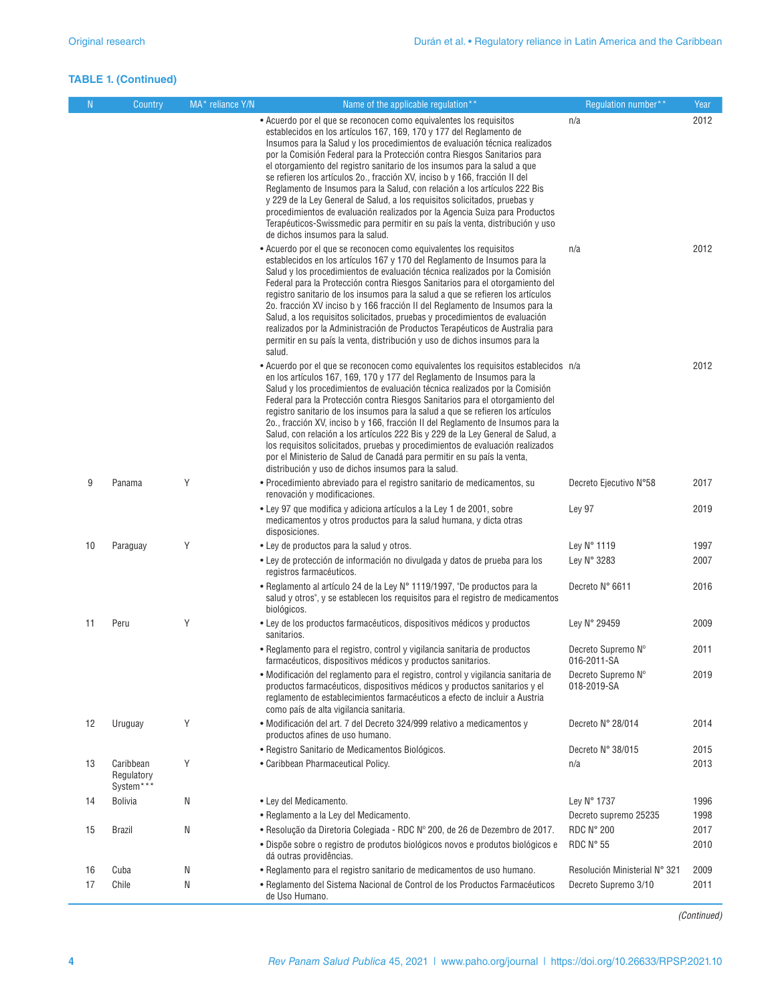### **TABLE 1. (Continued)**

| N. | Country                              | MA* reliance Y/N | Name of the applicable regulation**                                                                                                                                                                                                                                                                                                                                                                                                                                                                                                                                                                                                                                                                                                                                                                                             | Requlation number**               | Year |
|----|--------------------------------------|------------------|---------------------------------------------------------------------------------------------------------------------------------------------------------------------------------------------------------------------------------------------------------------------------------------------------------------------------------------------------------------------------------------------------------------------------------------------------------------------------------------------------------------------------------------------------------------------------------------------------------------------------------------------------------------------------------------------------------------------------------------------------------------------------------------------------------------------------------|-----------------------------------|------|
|    |                                      |                  | • Acuerdo por el que se reconocen como equivalentes los requisitos<br>establecidos en los artículos 167, 169, 170 y 177 del Reglamento de<br>Insumos para la Salud y los procedimientos de evaluación técnica realizados<br>por la Comisión Federal para la Protección contra Riesgos Sanitarios para<br>el otorgamiento del registro sanitario de los insumos para la salud a que<br>se refieren los artículos 20., fracción XV, inciso b y 166, fracción II del<br>Reglamento de Insumos para la Salud, con relación a los artículos 222 Bis<br>y 229 de la Ley General de Salud, a los requisitos solicitados, pruebas y<br>procedimientos de evaluación realizados por la Agencia Suiza para Productos<br>Terapéuticos-Swissmedic para permitir en su país la venta, distribución y uso<br>de dichos insumos para la salud. | n/a                               | 2012 |
|    |                                      |                  | • Acuerdo por el que se reconocen como equivalentes los requisitos<br>establecidos en los artículos 167 y 170 del Reglamento de Insumos para la<br>Salud y los procedimientos de evaluación técnica realizados por la Comisión<br>Federal para la Protección contra Riesgos Sanitarios para el otorgamiento del<br>registro sanitario de los insumos para la salud a que se refieren los artículos<br>2o. fracción XV inciso b y 166 fracción II del Reglamento de Insumos para la<br>Salud, a los requisitos solicitados, pruebas y procedimientos de evaluación<br>realizados por la Administración de Productos Terapéuticos de Australia para<br>permitir en su país la venta, distribución y uso de dichos insumos para la<br>salud.                                                                                       | n/a                               | 2012 |
|    |                                      |                  | • Acuerdo por el que se reconocen como equivalentes los requisitos establecidos n/a<br>en los artículos 167, 169, 170 y 177 del Reglamento de Insumos para la<br>Salud y los procedimientos de evaluación técnica realizados por la Comisión<br>Federal para la Protección contra Riesgos Sanitarios para el otorgamiento del<br>registro sanitario de los insumos para la salud a que se refieren los artículos<br>2o., fracción XV, inciso b y 166, fracción II del Reglamento de Insumos para la<br>Salud, con relación a los artículos 222 Bis y 229 de la Ley General de Salud, a<br>los requisitos solicitados, pruebas y procedimientos de evaluación realizados<br>por el Ministerio de Salud de Canadá para permitir en su país la venta,<br>distribución y uso de dichos insumos para la salud.                       |                                   | 2012 |
| 9  | Panama                               | Y                | • Procedimiento abreviado para el registro sanitario de medicamentos, su<br>renovación y modificaciones.                                                                                                                                                                                                                                                                                                                                                                                                                                                                                                                                                                                                                                                                                                                        | Decreto Ejecutivo N°58            | 2017 |
|    |                                      |                  | • Ley 97 que modifica y adiciona artículos a la Ley 1 de 2001, sobre<br>medicamentos y otros productos para la salud humana, y dicta otras<br>disposiciones.                                                                                                                                                                                                                                                                                                                                                                                                                                                                                                                                                                                                                                                                    | Ley 97                            | 2019 |
| 10 | Paraguay                             | Y                | • Ley de productos para la salud y otros.                                                                                                                                                                                                                                                                                                                                                                                                                                                                                                                                                                                                                                                                                                                                                                                       | Ley N° 1119                       | 1997 |
|    |                                      |                  | • Ley de protección de información no divulgada y datos de prueba para los<br>registros farmacéuticos.                                                                                                                                                                                                                                                                                                                                                                                                                                                                                                                                                                                                                                                                                                                          | Ley N° 3283                       | 2007 |
|    |                                      |                  | • Reglamento al artículo 24 de la Ley N° 1119/1997, "De productos para la<br>salud y otros", y se establecen los requisitos para el registro de medicamentos<br>biológicos.                                                                                                                                                                                                                                                                                                                                                                                                                                                                                                                                                                                                                                                     | Decreto N° 6611                   | 2016 |
| 11 | Peru                                 | Y                | • Ley de los productos farmacéuticos, dispositivos médicos y productos<br>sanitarios.                                                                                                                                                                                                                                                                                                                                                                                                                                                                                                                                                                                                                                                                                                                                           | Lev N° 29459                      | 2009 |
|    |                                      |                  | • Reglamento para el registro, control y vigilancia sanitaria de productos<br>farmacéuticos, dispositivos médicos y productos sanitarios.                                                                                                                                                                                                                                                                                                                                                                                                                                                                                                                                                                                                                                                                                       | Decreto Supremo Nº<br>016-2011-SA | 2011 |
|    |                                      |                  | · Modificación del reglamento para el registro, control y vigilancia sanitaria de<br>productos farmacéuticos, dispositivos médicos y productos sanitarios y el<br>reglamento de establecimientos farmacéuticos a efecto de incluir a Austria<br>como país de alta vigilancia sanitaria.                                                                                                                                                                                                                                                                                                                                                                                                                                                                                                                                         | Decreto Supremo Nº<br>018-2019-SA | 2019 |
| 12 | Uruguay                              | Υ                | · Modificación del art. 7 del Decreto 324/999 relativo a medicamentos y<br>productos afines de uso humano.                                                                                                                                                                                                                                                                                                                                                                                                                                                                                                                                                                                                                                                                                                                      | Decreto N° 28/014                 | 2014 |
|    |                                      |                  | • Registro Sanitario de Medicamentos Biológicos.                                                                                                                                                                                                                                                                                                                                                                                                                                                                                                                                                                                                                                                                                                                                                                                | Decreto N° 38/015                 | 2015 |
| 13 | Caribbean<br>Regulatory<br>System*** | Y                | • Caribbean Pharmaceutical Policy.                                                                                                                                                                                                                                                                                                                                                                                                                                                                                                                                                                                                                                                                                                                                                                                              | n/a                               | 2013 |
| 14 | <b>Bolivia</b>                       | N                | • Ley del Medicamento.                                                                                                                                                                                                                                                                                                                                                                                                                                                                                                                                                                                                                                                                                                                                                                                                          | Lev N° 1737                       | 1996 |
|    |                                      |                  | • Reglamento a la Ley del Medicamento.                                                                                                                                                                                                                                                                                                                                                                                                                                                                                                                                                                                                                                                                                                                                                                                          | Decreto supremo 25235             | 1998 |
| 15 | <b>Brazil</b>                        | N                | • Resolução da Diretoria Colegiada - RDC Nº 200, de 26 de Dezembro de 2017.                                                                                                                                                                                                                                                                                                                                                                                                                                                                                                                                                                                                                                                                                                                                                     | <b>RDC N° 200</b>                 | 2017 |
|    |                                      |                  | · Dispõe sobre o registro de produtos biológicos novos e produtos biológicos e<br>dá outras providências.                                                                                                                                                                                                                                                                                                                                                                                                                                                                                                                                                                                                                                                                                                                       | RDC N° 55                         | 2010 |
| 16 | Cuba                                 | N                | • Reglamento para el registro sanitario de medicamentos de uso humano.                                                                                                                                                                                                                                                                                                                                                                                                                                                                                                                                                                                                                                                                                                                                                          | Resolución Ministerial N° 321     | 2009 |
| 17 | Chile                                | N                | • Reglamento del Sistema Nacional de Control de los Productos Farmacéuticos<br>de Uso Humano.                                                                                                                                                                                                                                                                                                                                                                                                                                                                                                                                                                                                                                                                                                                                   | Decreto Supremo 3/10              | 2011 |

*(Continued)*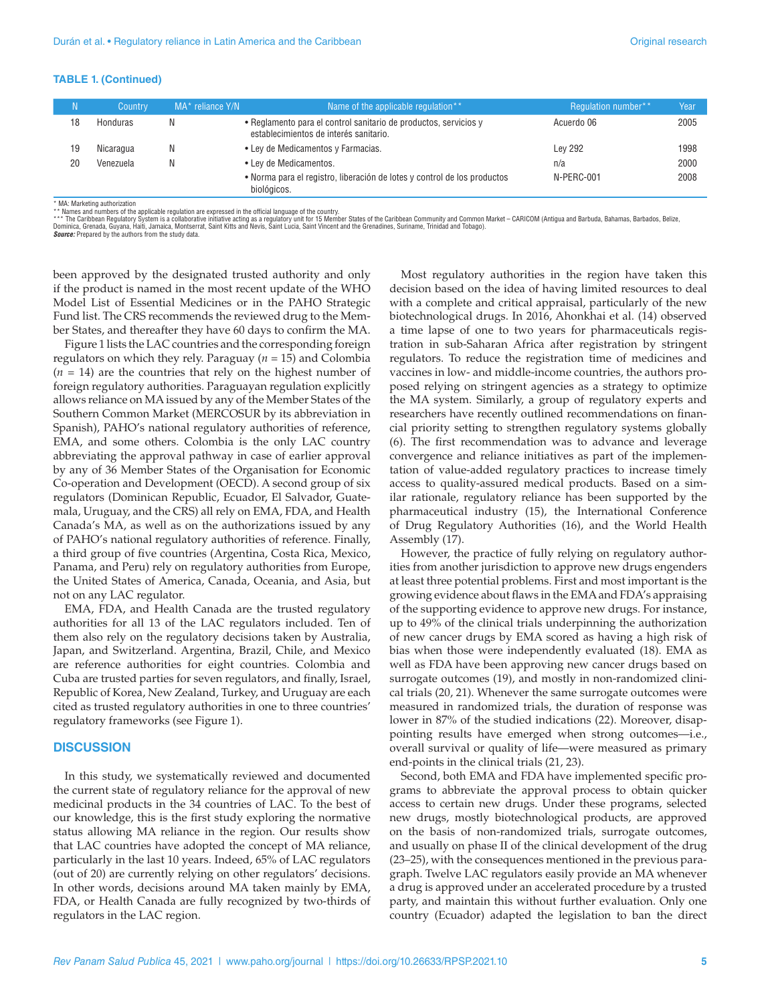#### **TABLE 1. (Continued)**

| N. | Country   | MA* reliance Y/N | Name of the applicable regulation**                                                                        | Regulation number** | Year |
|----|-----------|------------------|------------------------------------------------------------------------------------------------------------|---------------------|------|
| 18 | Honduras  |                  | • Reglamento para el control sanitario de productos, servicios y<br>establecimientos de interés sanitario. | Acuerdo 06          | 2005 |
| 19 | Nicaragua | N                | • Ley de Medicamentos y Farmacias.                                                                         | <b>Lev 292</b>      | 1998 |
| 20 | Venezuela | N                | • Ley de Medicamentos.                                                                                     | n/a                 | 2000 |
|    |           |                  | • Norma para el registro, liberación de lotes y control de los productos<br>biológicos.                    | N-PERC-001          | 2008 |

\* MA: Marketing authorization<br>\*\* Names and numbers of the applicable regulation are expressed in the official language of the country.<br>\*\*\* The Caribbean Regulatory System is a collaborative initiative acting as a regulator Dominica, Grenada, Guyana, Haiti, Jamaica, Montserrat, Saint Kitts and Nevis, Saint Lucia, Saint Vincent and the Grenadines, Suriname, Trinidad and Tobago). *Source:* Prepared by the authors from the study data.

been approved by the designated trusted authority and only if the product is named in the most recent update of the WHO Model List of Essential Medicines or in the PAHO Strategic Fund list. The CRS recommends the reviewed drug to the Member States, and thereafter they have 60 days to confirm the MA.

Figure 1 lists the LAC countries and the corresponding foreign regulators on which they rely. Paraguay (*n* = 15) and Colombia  $(n = 14)$  are the countries that rely on the highest number of foreign regulatory authorities. Paraguayan regulation explicitly allows reliance on MA issued by any of the Member States of the Southern Common Market (MERCOSUR by its abbreviation in Spanish), PAHO's national regulatory authorities of reference, EMA, and some others. Colombia is the only LAC country abbreviating the approval pathway in case of earlier approval by any of 36 Member States of the Organisation for Economic Co-operation and Development (OECD). A second group of six regulators (Dominican Republic, Ecuador, El Salvador, Guatemala, Uruguay, and the CRS) all rely on EMA, FDA, and Health Canada's MA, as well as on the authorizations issued by any of PAHO's national regulatory authorities of reference. Finally, a third group of five countries (Argentina, Costa Rica, Mexico, Panama, and Peru) rely on regulatory authorities from Europe, the United States of America, Canada, Oceania, and Asia, but not on any LAC regulator.

EMA, FDA, and Health Canada are the trusted regulatory authorities for all 13 of the LAC regulators included. Ten of them also rely on the regulatory decisions taken by Australia, Japan, and Switzerland. Argentina, Brazil, Chile, and Mexico are reference authorities for eight countries. Colombia and Cuba are trusted parties for seven regulators, and finally, Israel, Republic of Korea, New Zealand, Turkey, and Uruguay are each cited as trusted regulatory authorities in one to three countries' regulatory frameworks (see Figure 1).

#### **DISCUSSION**

In this study, we systematically reviewed and documented the current state of regulatory reliance for the approval of new medicinal products in the 34 countries of LAC. To the best of our knowledge, this is the first study exploring the normative status allowing MA reliance in the region. Our results show that LAC countries have adopted the concept of MA reliance, particularly in the last 10 years. Indeed, 65% of LAC regulators (out of 20) are currently relying on other regulators' decisions. In other words, decisions around MA taken mainly by EMA, FDA, or Health Canada are fully recognized by two-thirds of regulators in the LAC region.

Most regulatory authorities in the region have taken this decision based on the idea of having limited resources to deal with a complete and critical appraisal, particularly of the new biotechnological drugs. In 2016, Ahonkhai et al. (14) observed a time lapse of one to two years for pharmaceuticals registration in sub-Saharan Africa after registration by stringent regulators. To reduce the registration time of medicines and vaccines in low- and middle-income countries, the authors proposed relying on stringent agencies as a strategy to optimize the MA system. Similarly, a group of regulatory experts and researchers have recently outlined recommendations on financial priority setting to strengthen regulatory systems globally (6). The first recommendation was to advance and leverage convergence and reliance initiatives as part of the implementation of value-added regulatory practices to increase timely access to quality-assured medical products. Based on a similar rationale, regulatory reliance has been supported by the pharmaceutical industry (15), the International Conference of Drug Regulatory Authorities (16), and the World Health Assembly (17).

However, the practice of fully relying on regulatory authorities from another jurisdiction to approve new drugs engenders at least three potential problems. First and most important is the growing evidence about flaws in the EMA and FDA's appraising of the supporting evidence to approve new drugs. For instance, up to 49% of the clinical trials underpinning the authorization of new cancer drugs by EMA scored as having a high risk of bias when those were independently evaluated (18). EMA as well as FDA have been approving new cancer drugs based on surrogate outcomes (19), and mostly in non-randomized clinical trials (20, 21). Whenever the same surrogate outcomes were measured in randomized trials, the duration of response was lower in 87% of the studied indications (22). Moreover, disappointing results have emerged when strong outcomes—i.e., overall survival or quality of life—were measured as primary end-points in the clinical trials (21, 23).

Second, both EMA and FDA have implemented specific programs to abbreviate the approval process to obtain quicker access to certain new drugs. Under these programs, selected new drugs, mostly biotechnological products, are approved on the basis of non-randomized trials, surrogate outcomes, and usually on phase II of the clinical development of the drug (23–25), with the consequences mentioned in the previous paragraph. Twelve LAC regulators easily provide an MA whenever a drug is approved under an accelerated procedure by a trusted party, and maintain this without further evaluation. Only one country (Ecuador) adapted the legislation to ban the direct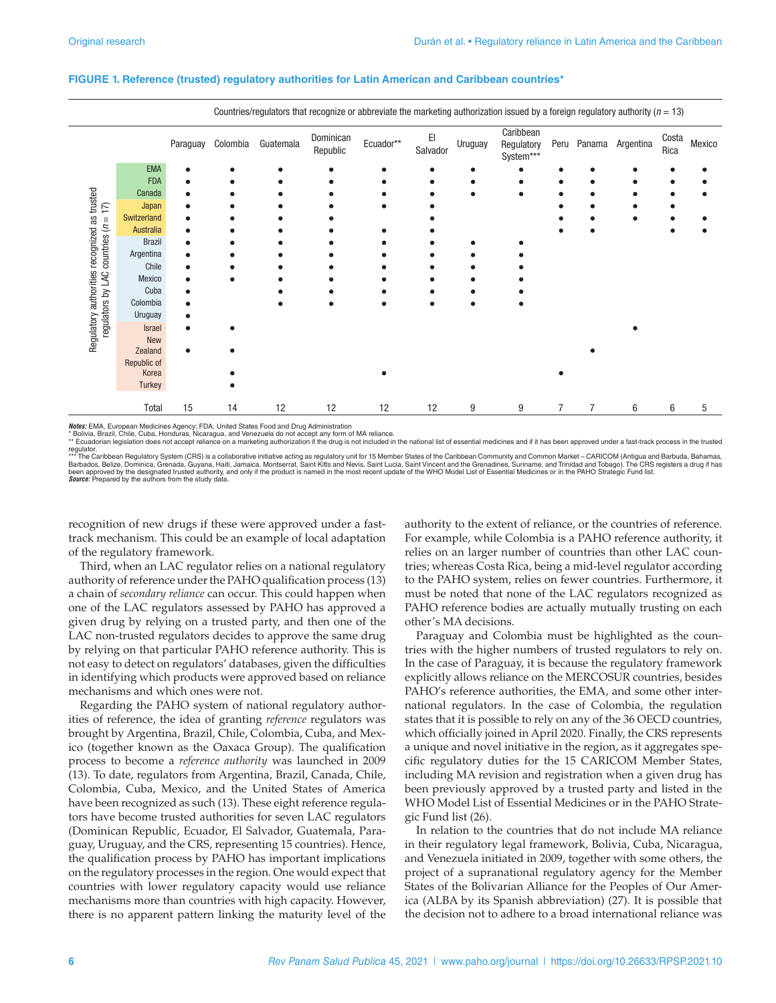|                                                                   | Countries/regulators that recognize or abbreviate the marketing authorization issued by a foreign regulatory authority ( $n = 13$ ) |          |          |           |                       |           |                |         |                                      |                |                |                  |               |        |
|-------------------------------------------------------------------|-------------------------------------------------------------------------------------------------------------------------------------|----------|----------|-----------|-----------------------|-----------|----------------|---------|--------------------------------------|----------------|----------------|------------------|---------------|--------|
|                                                                   |                                                                                                                                     | Paraguay | Colombia | Guatemala | Dominican<br>Republic | Ecuador** | EI<br>Salvador | Uruguay | Caribbean<br>Regulatory<br>System*** | Peru           |                | Panama Argentina | Costa<br>Rica | Mexico |
|                                                                   | <b>EMA</b>                                                                                                                          |          |          |           |                       |           |                |         |                                      |                |                |                  |               |        |
|                                                                   | <b>FDA</b>                                                                                                                          |          |          |           |                       |           |                |         |                                      |                |                |                  |               |        |
|                                                                   | Canada                                                                                                                              |          |          |           |                       |           |                |         |                                      |                |                |                  |               |        |
| $\overline{17}$                                                   | Japan                                                                                                                               |          |          |           |                       |           |                |         |                                      |                |                |                  |               |        |
|                                                                   | Switzerland                                                                                                                         |          |          |           |                       |           |                |         |                                      |                |                |                  |               |        |
|                                                                   | Australia                                                                                                                           |          |          |           |                       |           |                |         |                                      |                |                |                  |               |        |
|                                                                   | <b>Brazil</b>                                                                                                                       |          |          |           |                       |           |                |         |                                      |                |                |                  |               |        |
| countries $(n =$                                                  | Argentina                                                                                                                           |          |          |           |                       |           |                |         |                                      |                |                |                  |               |        |
|                                                                   | Chile                                                                                                                               |          |          |           |                       |           |                |         |                                      |                |                |                  |               |        |
|                                                                   | Mexico                                                                                                                              |          |          |           |                       |           |                |         |                                      |                |                |                  |               |        |
|                                                                   | Cuba                                                                                                                                |          |          |           |                       |           |                |         |                                      |                |                |                  |               |        |
|                                                                   | Colombia                                                                                                                            |          |          |           |                       |           |                |         |                                      |                |                |                  |               |        |
|                                                                   | Uruguay                                                                                                                             |          |          |           |                       |           |                |         |                                      |                |                |                  |               |        |
| Regulatory authorities recognized as trusted<br>regulators by LAC | <b>Israel</b>                                                                                                                       |          |          |           |                       |           |                |         |                                      |                |                |                  |               |        |
|                                                                   | New                                                                                                                                 |          |          |           |                       |           |                |         |                                      |                |                |                  |               |        |
|                                                                   | Zealand                                                                                                                             |          |          |           |                       |           |                |         |                                      |                |                |                  |               |        |
|                                                                   | Republic of                                                                                                                         |          |          |           |                       |           |                |         |                                      |                |                |                  |               |        |
|                                                                   | Korea                                                                                                                               |          |          |           |                       |           |                |         |                                      |                |                |                  |               |        |
|                                                                   | Turkey                                                                                                                              |          |          |           |                       |           |                |         |                                      |                |                |                  |               |        |
|                                                                   | Total                                                                                                                               | 15       | 14       | 12        | 12                    | 12        | 12             | 9       | 9                                    | $\overline{7}$ | $\overline{7}$ | 6                | 6             | 5      |

#### **FIGURE 1. Reference (trusted) regulatory authorities for Latin American and Caribbean countries\***

*Notes:* EMA, European Medicines Agency; FDA, United States Food and Drug Administration<br>\* Bolivia, Brazil, Chile, Cuba, Honduras, Nicaragua, and Venezuela do not accept any form of MA reliance.<br>\*\* Ecuadorian legislation d

regulator.<br>\*\*\* The Caribbean Regulatory System (CRS) is a collaborative initiative acting as regulatory unit for 15 Member States of the Caribbean Community and Common Market – CARICOM (Antigua and Barbuda, Bahamas,<br>Barbad **Source:** Prepared by the authors from the study data

recognition of new drugs if these were approved under a fasttrack mechanism. This could be an example of local adaptation of the regulatory framework.

Third, when an LAC regulator relies on a national regulatory authority of reference under the PAHO qualification process (13) a chain of *secondary reliance* can occur. This could happen when one of the LAC regulators assessed by PAHO has approved a given drug by relying on a trusted party, and then one of the LAC non-trusted regulators decides to approve the same drug by relying on that particular PAHO reference authority. This is not easy to detect on regulators' databases, given the difficulties in identifying which products were approved based on reliance mechanisms and which ones were not.

Regarding the PAHO system of national regulatory authorities of reference, the idea of granting *reference* regulators was brought by Argentina, Brazil, Chile, Colombia, Cuba, and Mexico (together known as the Oaxaca Group). The qualification process to become a *reference authority* was launched in 2009 (13). To date, regulators from Argentina, Brazil, Canada, Chile, Colombia, Cuba, Mexico, and the United States of America have been recognized as such (13). These eight reference regulators have become trusted authorities for seven LAC regulators (Dominican Republic, Ecuador, El Salvador, Guatemala, Paraguay, Uruguay, and the CRS, representing 15 countries). Hence, the qualification process by PAHO has important implications on the regulatory processes in the region. One would expect that countries with lower regulatory capacity would use reliance mechanisms more than countries with high capacity. However, there is no apparent pattern linking the maturity level of the

authority to the extent of reliance, or the countries of reference. For example, while Colombia is a PAHO reference authority, it relies on an larger number of countries than other LAC countries; whereas Costa Rica, being a mid-level regulator according to the PAHO system, relies on fewer countries. Furthermore, it must be noted that none of the LAC regulators recognized as PAHO reference bodies are actually mutually trusting on each other's MA decisions.

Paraguay and Colombia must be highlighted as the countries with the higher numbers of trusted regulators to rely on. In the case of Paraguay, it is because the regulatory framework explicitly allows reliance on the MERCOSUR countries, besides PAHO's reference authorities, the EMA, and some other international regulators. In the case of Colombia, the regulation states that it is possible to rely on any of the 36 OECD countries, which officially joined in April 2020. Finally, the CRS represents a unique and novel initiative in the region, as it aggregates specific regulatory duties for the 15 CARICOM Member States, including MA revision and registration when a given drug has been previously approved by a trusted party and listed in the WHO Model List of Essential Medicines or in the PAHO Strategic Fund list (26).

In relation to the countries that do not include MA reliance in their regulatory legal framework, Bolivia, Cuba, Nicaragua, and Venezuela initiated in 2009, together with some others, the project of a supranational regulatory agency for the Member States of the Bolivarian Alliance for the Peoples of Our America (ALBA by its Spanish abbreviation) (27). It is possible that the decision not to adhere to a broad international reliance was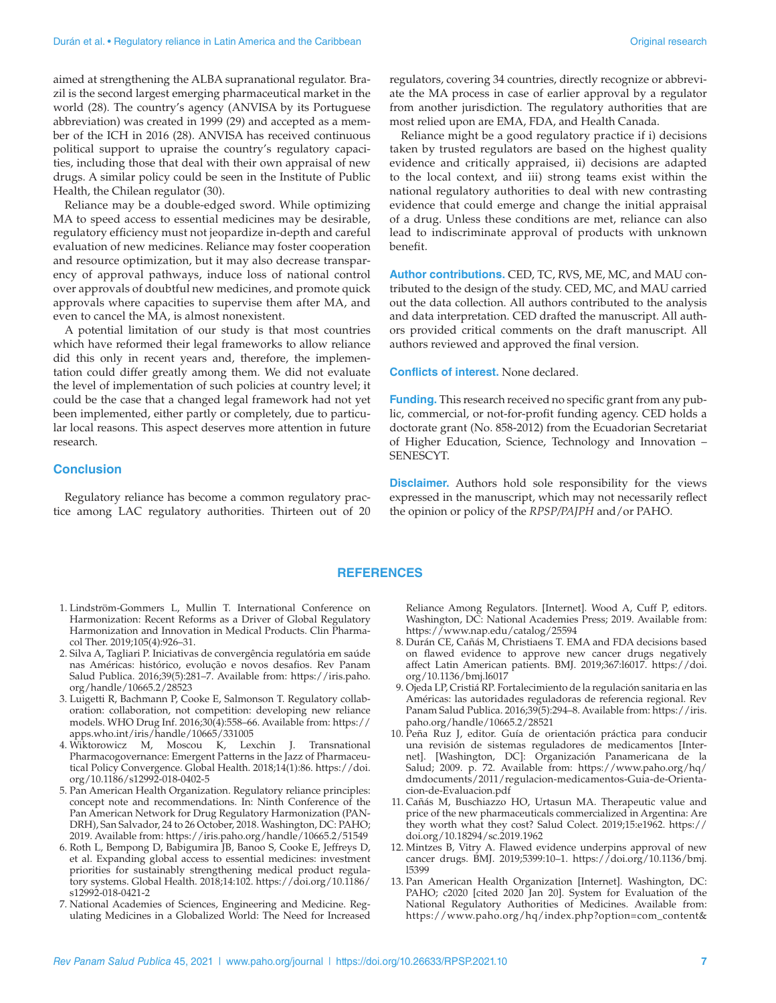aimed at strengthening the ALBA supranational regulator. Brazil is the second largest emerging pharmaceutical market in the world (28). The country's agency (ANVISA by its Portuguese abbreviation) was created in 1999 (29) and accepted as a member of the ICH in 2016 (28). ANVISA has received continuous political support to upraise the country's regulatory capacities, including those that deal with their own appraisal of new drugs. A similar policy could be seen in the Institute of Public Health, the Chilean regulator (30).

Reliance may be a double-edged sword. While optimizing MA to speed access to essential medicines may be desirable, regulatory efficiency must not jeopardize in-depth and careful evaluation of new medicines. Reliance may foster cooperation and resource optimization, but it may also decrease transparency of approval pathways, induce loss of national control over approvals of doubtful new medicines, and promote quick approvals where capacities to supervise them after MA, and even to cancel the MA, is almost nonexistent.

A potential limitation of our study is that most countries which have reformed their legal frameworks to allow reliance did this only in recent years and, therefore, the implementation could differ greatly among them. We did not evaluate the level of implementation of such policies at country level; it could be the case that a changed legal framework had not yet been implemented, either partly or completely, due to particular local reasons. This aspect deserves more attention in future research.

#### **Conclusion**

Regulatory reliance has become a common regulatory practice among LAC regulatory authorities. Thirteen out of 20 regulators, covering 34 countries, directly recognize or abbreviate the MA process in case of earlier approval by a regulator from another jurisdiction. The regulatory authorities that are most relied upon are EMA, FDA, and Health Canada.

Reliance might be a good regulatory practice if i) decisions taken by trusted regulators are based on the highest quality evidence and critically appraised, ii) decisions are adapted to the local context, and iii) strong teams exist within the national regulatory authorities to deal with new contrasting evidence that could emerge and change the initial appraisal of a drug. Unless these conditions are met, reliance can also lead to indiscriminate approval of products with unknown benefit.

**Author contributions.** CED, TC, RVS, ME, MC, and MAU contributed to the design of the study. CED, MC, and MAU carried out the data collection. All authors contributed to the analysis and data interpretation. CED drafted the manuscript. All authors provided critical comments on the draft manuscript. All authors reviewed and approved the final version.

**Conflicts of interest.** None declared.

**Funding.** This research received no specific grant from any public, commercial, or not-for-profit funding agency. CED holds a doctorate grant (No. 858-2012) from the Ecuadorian Secretariat of Higher Education, Science, Technology and Innovation – SENESCYT.

**Disclaimer.** Authors hold sole responsibility for the views expressed in the manuscript, which may not necessarily reflect the opinion or policy of the *RPSP/PAJPH* and/or PAHO.

#### **REFERENCES**

- 1. Lindström-Gommers L, Mullin T. International Conference on Harmonization: Recent Reforms as a Driver of Global Regulatory Harmonization and Innovation in Medical Products. Clin Pharmacol Ther. 2019;105(4):926–31.
- 2. Silva A, Tagliari P. Iniciativas de convergência regulatória em saúde nas Américas: histórico, evolução e novos desafios. Rev Panam Salud Publica. 2016;39(5):281–7. Available from: [https://iris.paho.](https://iris.paho.org/handle/10665.2/28523) [org/handle/10665.2/28523](https://iris.paho.org/handle/10665.2/28523)
- 3. Luigetti R, Bachmann P, Cooke E, Salmonson T. Regulatory collaboration: collaboration, not competition: developing new reliance models. WHO Drug Inf. 2016;30(4):558–66. Available from: [https://](https://apps.who.int/iris/handle/10665/331005) [apps.who.int/iris/handle/10665/331005](https://apps.who.int/iris/handle/10665/331005)
- 4. Wiktorowicz M, Moscou K, Lexchin J. Transnational Pharmacogovernance: Emergent Patterns in the Jazz of Pharmaceutical Policy Convergence. Global Health. 2018;14(1):86. [https://doi.](https://doi.org/10.1186/s12992-018-0402-5) [org/10.1186/s12992-018-0402-5](https://doi.org/10.1186/s12992-018-0402-5)
- 5. Pan American Health Organization. Regulatory reliance principles: concept note and recommendations. In: Ninth Conference of the Pan American Network for Drug Regulatory Harmonization (PAN-DRH), San Salvador, 24 to 26 October, 2018. Washington, DC: PAHO; 2019. Available from:<https://iris.paho.org/handle/10665.2/51549>
- 6. Roth L, Bempong D, Babigumira JB, Banoo S, Cooke E, Jeffreys D, et al. Expanding global access to essential medicines: investment priorities for sustainably strengthening medical product regulatory systems. Global Health. 2018;14:102. [https://doi.org/10.1186/](https://doi.org/10.1186/s12992-018-0421-2) [s12992-018-0421-2](https://doi.org/10.1186/s12992-018-0421-2)
- 7. National Academies of Sciences, Engineering and Medicine. Regulating Medicines in a Globalized World: The Need for Increased

Reliance Among Regulators. [Internet]. Wood A, Cuff P, editors. Washington, DC: National Academies Press; 2019. Available from: <https://www.nap.edu/catalog/25594>

- 8. Durán CE, Cañás M, Christiaens T. EMA and FDA decisions based on flawed evidence to approve new cancer drugs negatively affect Latin American patients. BMJ. 2019;367:l6017. [https://doi.](https://doi.org/10.1136/bmj.l6017) [org/10.1136/bmj.l6017](https://doi.org/10.1136/bmj.l6017)
- 9. Ojeda LP, Cristiá RP. Fortalecimiento de la regulación sanitaria en las Américas: las autoridades reguladoras de referencia regional. Rev Panam Salud Publica. 2016;39(5):294–8. Available from: [https://iris.](https://iris.paho.org/handle/10665.2/28521) [paho.org/handle/10665.2/28521](https://iris.paho.org/handle/10665.2/28521)
- 10. Peña Ruz J, editor. Guía de orientación práctica para conducir una revisión de sistemas reguladores de medicamentos [Internet]. [Washington, DC]: Organización Panamericana de la Salud; 2009. p. 72. Available from: [https://www.paho.org/hq/](https://www.paho.org/hq/dmdocuments/2011/regulacion-medicamentos-Guia-de-Orientacion-de-Evaluacion.pdf) [dmdocuments/2011/regulacion-medicamentos-Guia-de-Orienta](https://www.paho.org/hq/dmdocuments/2011/regulacion-medicamentos-Guia-de-Orientacion-de-Evaluacion.pdf)[cion-de-Evaluacion.pdf](https://www.paho.org/hq/dmdocuments/2011/regulacion-medicamentos-Guia-de-Orientacion-de-Evaluacion.pdf)
- 11. Cañás M, Buschiazzo HO, Urtasun MA. Therapeutic value and price of the new pharmaceuticals commercialized in Argentina: Are they worth what they cost? Salud Colect. 2019;15:e1962. [https://](https://doi.org/10.18294/sc.2019.1962) [doi.org/10.18294/sc.2019.1962](https://doi.org/10.18294/sc.2019.1962)
- 12. Mintzes B, Vitry A. Flawed evidence underpins approval of new cancer drugs. BMJ. 2019;5399:10–1. [https://doi.org/10.1136/bmj.](https://doi.org/10.1136/bmj.l5399) [l5399](https://doi.org/10.1136/bmj.l5399)
- 13. Pan American Health Organization [Internet]. Washington, DC: PAHO; c2020 [cited 2020 Jan 20]. System for Evaluation of the National Regulatory Authorities of Medicines. Available from: [https://www.paho.org/hq/index.php?option=com\\_content&](https://www.paho.org/hq/index.php?option=com_content&view=article&id=1615:2009-sistema-evaluacion-autoridades-reguladoras-nacionales-medicamentos&Itemid=1179&lang=en)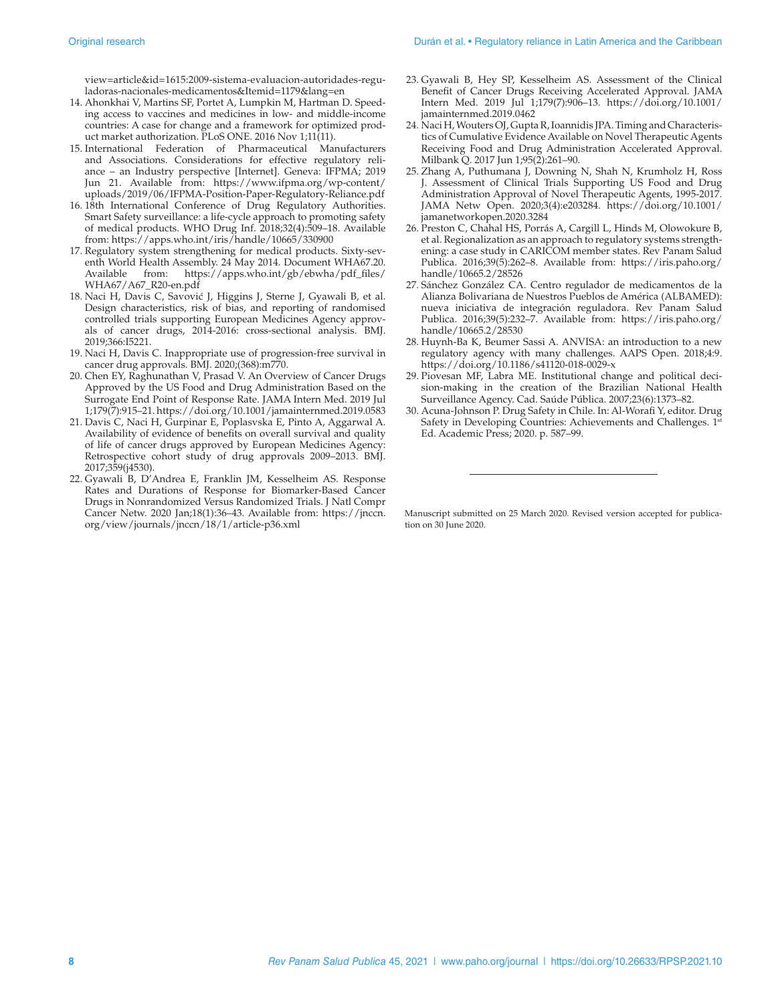[view=article&id=1615:2009-sistema-evaluacion-autoridades-regu](https://www.paho.org/hq/index.php?option=com_content&view=article&id=1615:2009-sistema-evaluacion-autoridades-reguladoras-nacionales-medicamentos&Itemid=1179&lang=en)[ladoras-nacionales-medicamentos&Itemid=1179&lang=en](https://www.paho.org/hq/index.php?option=com_content&view=article&id=1615:2009-sistema-evaluacion-autoridades-reguladoras-nacionales-medicamentos&Itemid=1179&lang=en)

- 14. Ahonkhai V, Martins SF, Portet A, Lumpkin M, Hartman D. Speeding access to vaccines and medicines in low- and middle-income countries: A case for change and a framework for optimized product market authorization. PLoS ONE. 2016 Nov 1;11(11).
- 15. International Federation of Pharmaceutical Manufacturers and Associations. Considerations for effective regulatory reliance – an Industry perspective [Internet]. Geneva: IFPMA; 2019 Jun 21. Available from: [https://www.ifpma.org/wp-content/](https://www.ifpma.org/wp-content/uploads/2019/06/IFPMA-Position-Paper-Regulatory-Reliance.pdf) [uploads/2019/06/IFPMA-Position-Paper-Regulatory-Reliance.pdf](https://www.ifpma.org/wp-content/uploads/2019/06/IFPMA-Position-Paper-Regulatory-Reliance.pdf)
- 16. 18th International Conference of Drug Regulatory Authorities. Smart Safety surveillance: a life-cycle approach to promoting safety of medical products. WHO Drug Inf. 2018;32(4):509–18. Available from:<https://apps.who.int/iris/handle/10665/330900>
- 17. Regulatory system strengthening for medical products. Sixty-seventh World Health Assembly. 24 May 2014. Document WHA67.20. Available from: [https://apps.who.int/gb/ebwha/pdf\\_files/](https://apps.who.int/gb/ebwha/pdf_files/WHA67/A67_R20-en.pdf) [WHA67/A67\\_R20-en.pdf](https://apps.who.int/gb/ebwha/pdf_files/WHA67/A67_R20-en.pdf)
- 18. Naci H, Davis C, Savović J, Higgins J, Sterne J, Gyawali B, et al. Design characteristics, risk of bias, and reporting of randomised controlled trials supporting European Medicines Agency approvals of cancer drugs, 2014-2016: cross-sectional analysis. BMJ. 2019;366:I5221.
- 19. Naci H, Davis C. Inappropriate use of progression-free survival in cancer drug approvals. BMJ. 2020;(368):m770.
- 20. Chen EY, Raghunathan V, Prasad V. An Overview of Cancer Drugs Approved by the US Food and Drug Administration Based on the Surrogate End Point of Response Rate. JAMA Intern Med. 2019 Jul 1;179(7):915–21.<https://doi.org/10.1001/jamainternmed.2019.0583>
- 21. Davis C, Naci H, Gurpinar E, Poplasvska E, Pinto A, Aggarwal A. Availability of evidence of benefits on overall survival and quality of life of cancer drugs approved by European Medicines Agency: Retrospective cohort study of drug approvals 2009–2013. BMJ. 2017;359(j4530).
- 22. Gyawali B, D'Andrea E, Franklin JM, Kesselheim AS. Response Rates and Durations of Response for Biomarker-Based Cancer Drugs in Nonrandomized Versus Randomized Trials. J Natl Compr Cancer Netw. 2020 Jan;18(1):36–43. Available from: [https://jnccn.](https://jnccn.org/view/journals/jnccn/18/1/article-p36.xml) [org/view/journals/jnccn/18/1/article-p36.xml](https://jnccn.org/view/journals/jnccn/18/1/article-p36.xml)
- 23. Gyawali B, Hey SP, Kesselheim AS. Assessment of the Clinical Benefit of Cancer Drugs Receiving Accelerated Approval. JAMA Intern Med. 2019 Jul 1;179(7):906–13. [https://doi.org/10.1001/](https://doi.org/10.1001/jamainternmed.2019.0462) [jamainternmed.2019.0462](https://doi.org/10.1001/jamainternmed.2019.0462)
- 24. Naci H, Wouters OJ, Gupta R, Ioannidis JPA. Timing and Characteristics of Cumulative Evidence Available on Novel Therapeutic Agents Receiving Food and Drug Administration Accelerated Approval. Milbank Q. 2017 Jun 1;95(2):261–90.
- 25. Zhang A, Puthumana J, Downing N, Shah N, Krumholz H, Ross J. Assessment of Clinical Trials Supporting US Food and Drug Administration Approval of Novel Therapeutic Agents, 1995-2017. JAMA Netw Open. 2020;3(4):e203284. [https://doi.org/10.1001/](https://doi.org/10.1001/jamanetworkopen.2020.3284) [jamanetworkopen.2020.3284](https://doi.org/10.1001/jamanetworkopen.2020.3284)
- 26. Preston C, Chahal HS, Porrás A, Cargill L, Hinds M, Olowokure B, et al. Regionalization as an approach to regulatory systems strengthening: a case study in CARICOM member states. Rev Panam Salud Publica. 2016;39(5):262–8. Available from: [https://iris.paho.org/](https://iris.paho.org/handle/10665.2/28526) [handle/10665.2/28526](https://iris.paho.org/handle/10665.2/28526)
- 27. Sánchez González CA. Centro regulador de medicamentos de la Alianza Bolivariana de Nuestros Pueblos de América (ALBAMED): nueva iniciativa de integración reguladora. Rev Panam Salud Publica. 2016;39(5):232-7. Available from: [https://iris.paho.org/](https://iris.paho.org/handle/10665.2/28530) [handle/10665.2/28530](https://iris.paho.org/handle/10665.2/28530)
- 28. Huynh-Ba K, Beumer Sassi A. ANVISA: an introduction to a new regulatory agency with many challenges. AAPS Open. 2018;4:9. <https://doi.org/10.1186/s41120-018-0029-x>
- 29. Piovesan MF, Labra ME. Institutional change and political decision-making in the creation of the Brazilian National Health Surveillance Agency. Cad. Saúde Pública. 2007;23(6):1373–82.
- 30. Acuna-Johnson P. Drug Safety in Chile. In: Al-Worafi Y, editor. Drug Safety in Developing Countries: Achievements and Challenges. 1st Ed. Academic Press; 2020. p. 587–99.

Manuscript submitted on 25 March 2020. Revised version accepted for publication on 30 June 2020.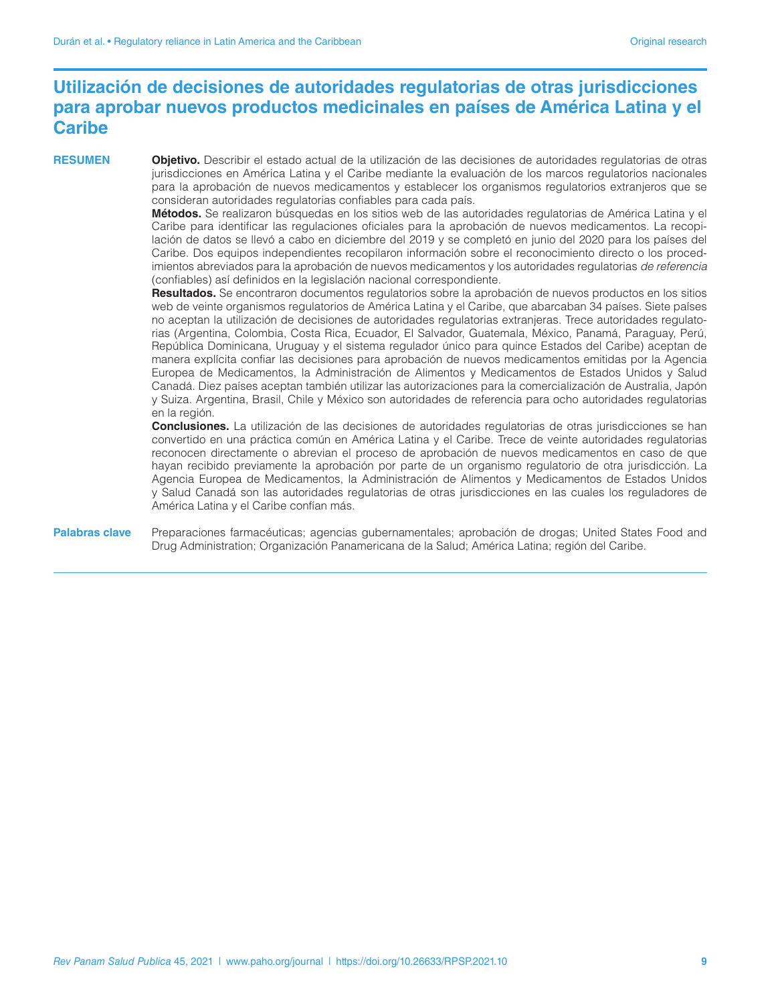## **Utilización de decisiones de autoridades regulatorias de otras jurisdicciones para aprobar nuevos productos medicinales en países de América Latina y el Caribe**

**RESUMEN Objetivo.** Describir el estado actual de la utilización de las decisiones de autoridades regulatorias de otras jurisdicciones en América Latina y el Caribe mediante la evaluación de los marcos regulatorios nacionales para la aprobación de nuevos medicamentos y establecer los organismos regulatorios extranjeros que se consideran autoridades regulatorias confiables para cada país.

> **Métodos.** Se realizaron búsquedas en los sitios web de las autoridades regulatorias de América Latina y el Caribe para identificar las regulaciones oficiales para la aprobación de nuevos medicamentos. La recopilación de datos se llevó a cabo en diciembre del 2019 y se completó en junio del 2020 para los países del Caribe. Dos equipos independientes recopilaron información sobre el reconocimiento directo o los procedimientos abreviados para la aprobación de nuevos medicamentos y los autoridades regulatorias *de referencia* (confiables) así definidos en la legislación nacional correspondiente.

> **Resultados.** Se encontraron documentos regulatorios sobre la aprobación de nuevos productos en los sitios web de veinte organismos regulatorios de América Latina y el Caribe, que abarcaban 34 países. Siete países no aceptan la utilización de decisiones de autoridades regulatorias extranjeras. Trece autoridades regulatorias (Argentina, Colombia, Costa Rica, Ecuador, El Salvador, Guatemala, México, Panamá, Paraguay, Perú, República Dominicana, Uruguay y el sistema regulador único para quince Estados del Caribe) aceptan de manera explícita confiar las decisiones para aprobación de nuevos medicamentos emitidas por la Agencia Europea de Medicamentos, la Administración de Alimentos y Medicamentos de Estados Unidos y Salud Canadá. Diez países aceptan también utilizar las autorizaciones para la comercialización de Australia, Japón y Suiza. Argentina, Brasil, Chile y México son autoridades de referencia para ocho autoridades regulatorias en la región.

> **Conclusiones.** La utilización de las decisiones de autoridades regulatorias de otras jurisdicciones se han convertido en una práctica común en América Latina y el Caribe. Trece de veinte autoridades regulatorias reconocen directamente o abrevian el proceso de aprobación de nuevos medicamentos en caso de que hayan recibido previamente la aprobación por parte de un organismo regulatorio de otra jurisdicción. La Agencia Europea de Medicamentos, la Administración de Alimentos y Medicamentos de Estados Unidos y Salud Canadá son las autoridades regulatorias de otras jurisdicciones en las cuales los reguladores de América Latina y el Caribe confían más.

**Palabras clave** Preparaciones farmacéuticas; agencias gubernamentales; aprobación de drogas; United States Food and Drug Administration; Organización Panamericana de la Salud; América Latina; región del Caribe.